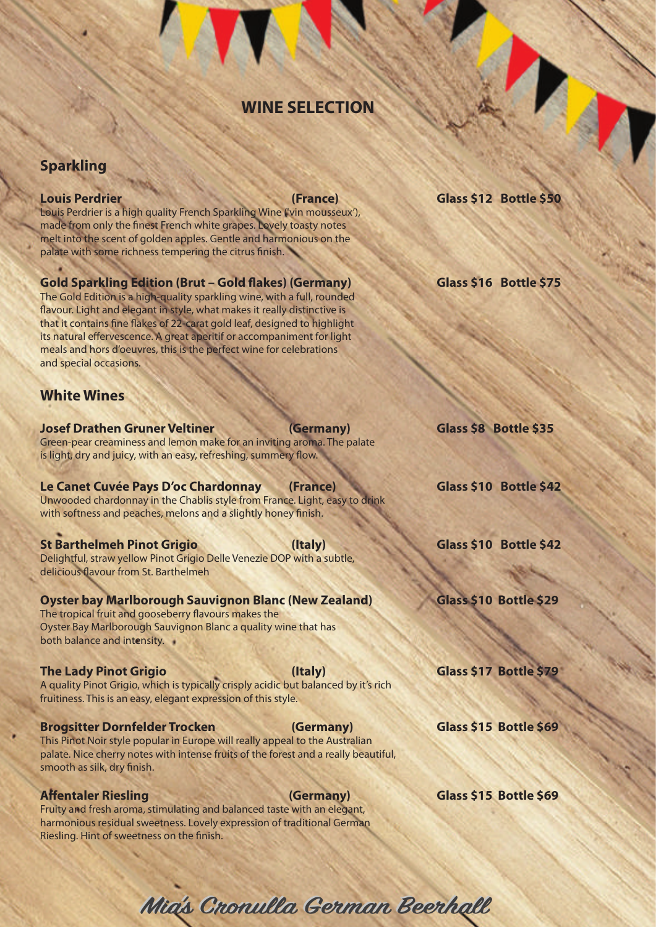## **WINE SELECTION**

## **Sparkling**

Louis Perdrier is a high quality French Sparkling Wine ('vin mousseux'), made from only the finest French white grapes. Lovely toasty notes melt into the scent of golden apples. Gentle and harmonious on the palate with some richness tempering the citrus finish.

## Gold Sparkling Edition (Brut – Gold flakes) (Germany) **Glass \$16 Bottle \$75**

The Gold Edition is a high-quality sparkling wine, with a full, rounded flavour. Light and elegant in style, what makes it really distinctive is that it contains fine flakes of 22-carat gold leaf, designed to highlight its natural effervescence. A great aperitif or accompaniment for light meals and hors d'oeuvres, this is the perfect wine for celebrations and special occasions.

## **White Wines**

**Josef Drathen Gruner Veltiner (Germany)** Glass \$8 Bottle \$35 Green-pear creaminess and lemon make for an inviting aroma. The palate is light, dry and juicy, with an easy, refreshing, summery flow.

### Le Canet Cuvée Pays D'oc Chardonnay (France) Glass \$10 Bottle \$42

Unwooded chardonnay in the Chablis style from France. Light, easy to drink with softness and peaches, melons and a slightly honey finish.

## **St Barthelmeh Pinot Grigio (Italy)** Glass \$10 Bottle \$42

Delightful, straw yellow Pinot Grigio Delle Venezie DOP with a subtle, delicious flavour from St. Barthelmeh

## **Oyster bay Marlborough Sauvignon Blanc (New Zealand) Glass \$10 Bottle \$29**

The tropical fruit and gooseberry flavours makes the Oyster Bay Marlborough Sauvignon Blanc a quality wine that has both balance and intensity.

### **The Lady Pinot Grigio (Italy) Glass \$17 Bottle \$79**

A quality Pinot Grigio, which is typically crisply acidic but balanced by it's rich fruitiness. This is an easy, elegant expression of this style.

### **Brogsitter Dornfelder Trocken (Germany)** Glass \$15 Bottle \$69

This Pinot Noir style popular in Europe will really appeal to the Australian palate. Nice cherry notes with intense fruits of the forest and a really beautiful, smooth as silk, dry finish.

Fruity and fresh aroma, stimulating and balanced taste with an elegant, harmonious residual sweetness. Lovely expression of traditional German Riesling. Hint of sweetness on the finish.

**Louis Perdrier (France) Glass \$12 Bottle \$50**

Affentaler Riesling **Mature 2018** (Germany) **Glass \$15 Bottle \$69** 

Mia's Cronulla German Beerhall